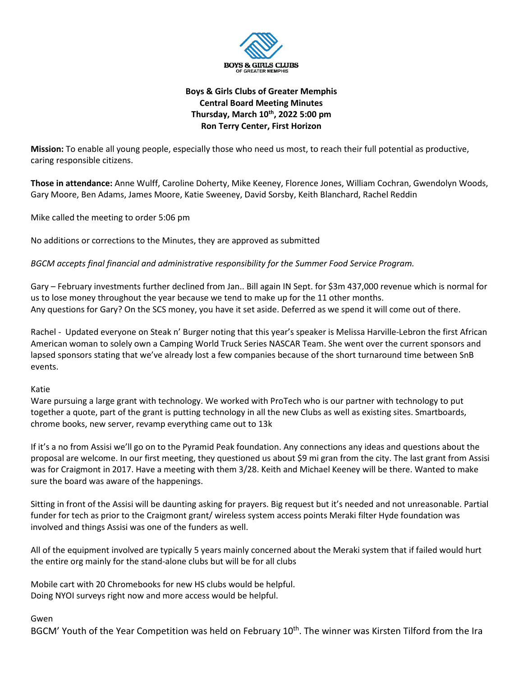

## **Boys & Girls Clubs of Greater Memphis Central Board Meeting Minutes Thursday, March 10th, 2022 5:00 pm Ron Terry Center, First Horizon**

**Mission:** To enable all young people, especially those who need us most, to reach their full potential as productive, caring responsible citizens.

**Those in attendance:** Anne Wulff, Caroline Doherty, Mike Keeney, Florence Jones, William Cochran, Gwendolyn Woods, Gary Moore, Ben Adams, James Moore, Katie Sweeney, David Sorsby, Keith Blanchard, Rachel Reddin

Mike called the meeting to order 5:06 pm

No additions or corrections to the Minutes, they are approved as submitted

*BGCM accepts final financial and administrative responsibility for the Summer Food Service Program.*

Gary – February investments further declined from Jan.. Bill again IN Sept. for \$3m 437,000 revenue which is normal for us to lose money throughout the year because we tend to make up for the 11 other months. Any questions for Gary? On the SCS money, you have it set aside. Deferred as we spend it will come out of there.

Rachel - Updated everyone on Steak n' Burger noting that this year's speaker is Melissa Harville-Lebron the first African American woman to solely own a Camping World Truck Series NASCAR Team. She went over the current sponsors and lapsed sponsors stating that we've already lost a few companies because of the short turnaround time between SnB events.

#### Katie

Ware pursuing a large grant with technology. We worked with ProTech who is our partner with technology to put together a quote, part of the grant is putting technology in all the new Clubs as well as existing sites. Smartboards, chrome books, new server, revamp everything came out to 13k

If it's a no from Assisi we'll go on to the Pyramid Peak foundation. Any connections any ideas and questions about the proposal are welcome. In our first meeting, they questioned us about \$9 mi gran from the city. The last grant from Assisi was for Craigmont in 2017. Have a meeting with them 3/28. Keith and Michael Keeney will be there. Wanted to make sure the board was aware of the happenings.

Sitting in front of the Assisi will be daunting asking for prayers. Big request but it's needed and not unreasonable. Partial funder for tech as prior to the Craigmont grant/ wireless system access points Meraki filter Hyde foundation was involved and things Assisi was one of the funders as well.

All of the equipment involved are typically 5 years mainly concerned about the Meraki system that if failed would hurt the entire org mainly for the stand-alone clubs but will be for all clubs

Mobile cart with 20 Chromebooks for new HS clubs would be helpful. Doing NYOI surveys right now and more access would be helpful.

#### Gwen

BGCM' Youth of the Year Competition was held on February 10<sup>th</sup>. The winner was Kirsten Tilford from the Ira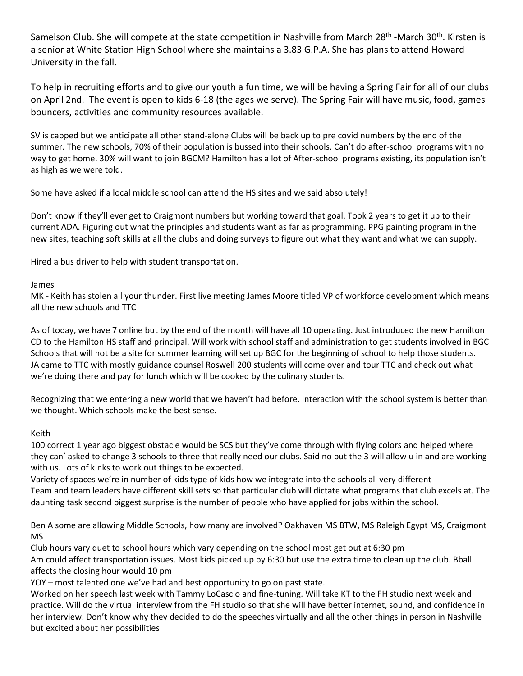Samelson Club. She will compete at the state competition in Nashville from March 28<sup>th</sup> -March 30<sup>th</sup>. Kirsten is a senior at White Station High School where she maintains a 3.83 G.P.A. She has plans to attend Howard University in the fall.

To help in recruiting efforts and to give our youth a fun time, we will be having a Spring Fair for all of our clubs on April 2nd. The event is open to kids 6-18 (the ages we serve). The Spring Fair will have music, food, games bouncers, activities and community resources available.

SV is capped but we anticipate all other stand-alone Clubs will be back up to pre covid numbers by the end of the summer. The new schools, 70% of their population is bussed into their schools. Can't do after-school programs with no way to get home. 30% will want to join BGCM? Hamilton has a lot of After-school programs existing, its population isn't as high as we were told.

Some have asked if a local middle school can attend the HS sites and we said absolutely!

Don't know if they'll ever get to Craigmont numbers but working toward that goal. Took 2 years to get it up to their current ADA. Figuring out what the principles and students want as far as programming. PPG painting program in the new sites, teaching soft skills at all the clubs and doing surveys to figure out what they want and what we can supply.

Hired a bus driver to help with student transportation.

# James

MK - Keith has stolen all your thunder. First live meeting James Moore titled VP of workforce development which means all the new schools and TTC

As of today, we have 7 online but by the end of the month will have all 10 operating. Just introduced the new Hamilton CD to the Hamilton HS staff and principal. Will work with school staff and administration to get students involved in BGC Schools that will not be a site for summer learning will set up BGC for the beginning of school to help those students. JA came to TTC with mostly guidance counsel Roswell 200 students will come over and tour TTC and check out what we're doing there and pay for lunch which will be cooked by the culinary students.

Recognizing that we entering a new world that we haven't had before. Interaction with the school system is better than we thought. Which schools make the best sense.

### Keith

100 correct 1 year ago biggest obstacle would be SCS but they've come through with flying colors and helped where they can' asked to change 3 schools to three that really need our clubs. Said no but the 3 will allow u in and are working with us. Lots of kinks to work out things to be expected.

Variety of spaces we're in number of kids type of kids how we integrate into the schools all very different Team and team leaders have different skill sets so that particular club will dictate what programs that club excels at. The daunting task second biggest surprise is the number of people who have applied for jobs within the school.

Ben A some are allowing Middle Schools, how many are involved? Oakhaven MS BTW, MS Raleigh Egypt MS, Craigmont MS

Club hours vary duet to school hours which vary depending on the school most get out at 6:30 pm Am could affect transportation issues. Most kids picked up by 6:30 but use the extra time to clean up the club. Bball affects the closing hour would 10 pm

YOY – most talented one we've had and best opportunity to go on past state.

Worked on her speech last week with Tammy LoCascio and fine-tuning. Will take KT to the FH studio next week and practice. Will do the virtual interview from the FH studio so that she will have better internet, sound, and confidence in her interview. Don't know why they decided to do the speeches virtually and all the other things in person in Nashville but excited about her possibilities